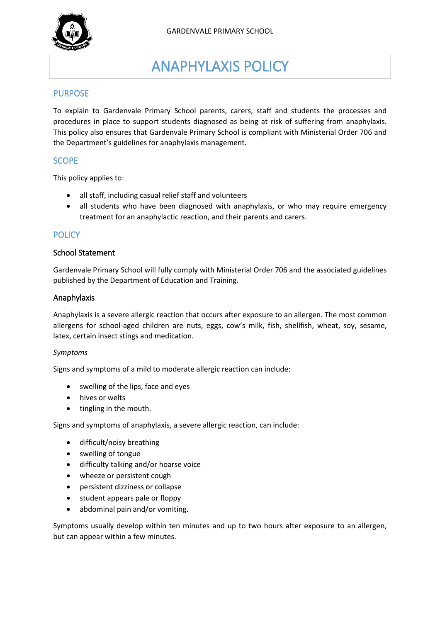

# ANAPHYLAXIS POLICY

## PURPOSE

To explain to Gardenvale Primary School parents, carers, staff and students the processes and procedures in place to support students diagnosed as being at risk of suffering from anaphylaxis. This policy also ensures that Gardenvale Primary School is compliant with Ministerial Order 706 and the Department's guidelines for anaphylaxis management.

## **SCOPE**

This policy applies to:

- all staff, including casual relief staff and volunteers
- all students who have been diagnosed with anaphylaxis, or who may require emergency treatment for an anaphylactic reaction, and their parents and carers.

## **POLICY**

#### School Statement

Gardenvale Primary School will fully comply with Ministerial Order 706 and the associated guidelines published by the Department of Education and Training.

#### Anaphylaxis

Anaphylaxis is a severe allergic reaction that occurs after exposure to an allergen. The most common allergens for school-aged children are nuts, eggs, cow's milk, fish, shellfish, wheat, soy, sesame, latex, certain insect stings and medication.

#### *Symptoms*

Signs and symptoms of a mild to moderate allergic reaction can include:

- swelling of the lips, face and eyes
- hives or welts
- $\bullet$  tingling in the mouth.

Signs and symptoms of anaphylaxis, a severe allergic reaction, can include:

- difficult/noisy breathing
- swelling of tongue
- difficulty talking and/or hoarse voice
- wheeze or persistent cough
- persistent dizziness or collapse
- student appears pale or floppy
- abdominal pain and/or vomiting.

Symptoms usually develop within ten minutes and up to two hours after exposure to an allergen, but can appear within a few minutes.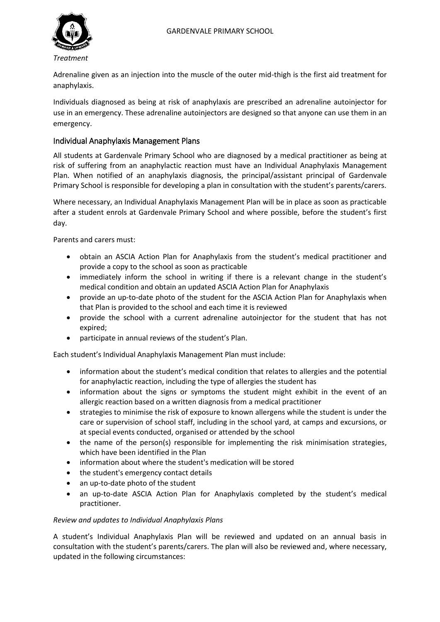

Adrenaline given as an injection into the muscle of the outer mid-thigh is the first aid treatment for anaphylaxis.

Individuals diagnosed as being at risk of anaphylaxis are prescribed an adrenaline autoinjector for use in an emergency. These adrenaline autoinjectors are designed so that anyone can use them in an emergency.

## Individual Anaphylaxis Management Plans

All students at Gardenvale Primary School who are diagnosed by a medical practitioner as being at risk of suffering from an anaphylactic reaction must have an Individual Anaphylaxis Management Plan. When notified of an anaphylaxis diagnosis, the principal/assistant principal of Gardenvale Primary School is responsible for developing a plan in consultation with the student's parents/carers.

Where necessary, an Individual Anaphylaxis Management Plan will be in place as soon as practicable after a student enrols at Gardenvale Primary School and where possible, before the student's first day.

Parents and carers must:

- obtain an ASCIA Action Plan for Anaphylaxis from the student's medical practitioner and provide a copy to the school as soon as practicable
- immediately inform the school in writing if there is a relevant change in the student's medical condition and obtain an updated ASCIA Action Plan for Anaphylaxis
- provide an up-to-date photo of the student for the ASCIA Action Plan for Anaphylaxis when that Plan is provided to the school and each time it is reviewed
- provide the school with a current adrenaline autoinjector for the student that has not expired;
- participate in annual reviews of the student's Plan.

Each student's Individual Anaphylaxis Management Plan must include:

- information about the student's medical condition that relates to allergies and the potential for anaphylactic reaction, including the type of allergies the student has
- information about the signs or symptoms the student might exhibit in the event of an allergic reaction based on a written diagnosis from a medical practitioner
- strategies to minimise the risk of exposure to known allergens while the student is under the care or supervision of school staff, including in the school yard, at camps and excursions, or at special events conducted, organised or attended by the school
- the name of the person(s) responsible for implementing the risk minimisation strategies, which have been identified in the Plan
- information about where the student's medication will be stored
- the student's emergency contact details
- an up-to-date photo of the student
- an up-to-date ASCIA Action Plan for Anaphylaxis completed by the student's medical practitioner.

#### *Review and updates to Individual Anaphylaxis Plans*

A student's Individual Anaphylaxis Plan will be reviewed and updated on an annual basis in consultation with the student's parents/carers. The plan will also be reviewed and, where necessary, updated in the following circumstances: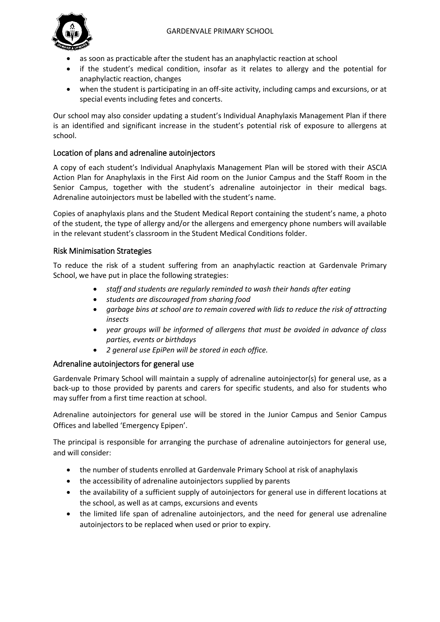

- as soon as practicable after the student has an anaphylactic reaction at school
- if the student's medical condition, insofar as it relates to allergy and the potential for anaphylactic reaction, changes
- when the student is participating in an off-site activity, including camps and excursions, or at special events including fetes and concerts.

Our school may also consider updating a student's Individual Anaphylaxis Management Plan if there is an identified and significant increase in the student's potential risk of exposure to allergens at school.

## Location of plans and adrenaline autoinjectors

A copy of each student's Individual Anaphylaxis Management Plan will be stored with their ASCIA Action Plan for Anaphylaxis in the First Aid room on the Junior Campus and the Staff Room in the Senior Campus, together with the student's adrenaline autoinjector in their medical bags. Adrenaline autoinjectors must be labelled with the student's name.

Copies of anaphylaxis plans and the Student Medical Report containing the student's name, a photo of the student, the type of allergy and/or the allergens and emergency phone numbers will available in the relevant student's classroom in the Student Medical Conditions folder.

## Risk Minimisation Strategies

To reduce the risk of a student suffering from an anaphylactic reaction at Gardenvale Primary School, we have put in place the following strategies:

- *staff and students are regularly reminded to wash their hands after eating*
- *students are discouraged from sharing food*
- *garbage bins at school are to remain covered with lids to reduce the risk of attracting insects*
- *year groups will be informed of allergens that must be avoided in advance of class parties, events or birthdays*
- *2 general use EpiPen will be stored in each office.*

#### Adrenaline autoinjectors for general use

Gardenvale Primary School will maintain a supply of adrenaline autoinjector(s) for general use, as a back-up to those provided by parents and carers for specific students, and also for students who may suffer from a first time reaction at school.

Adrenaline autoinjectors for general use will be stored in the Junior Campus and Senior Campus Offices and labelled 'Emergency Epipen'.

The principal is responsible for arranging the purchase of adrenaline autoinjectors for general use, and will consider:

- the number of students enrolled at Gardenvale Primary School at risk of anaphylaxis
- the accessibility of adrenaline autoinjectors supplied by parents
- the availability of a sufficient supply of autoinjectors for general use in different locations at the school, as well as at camps, excursions and events
- the limited life span of adrenaline autoinjectors, and the need for general use adrenaline autoinjectors to be replaced when used or prior to expiry.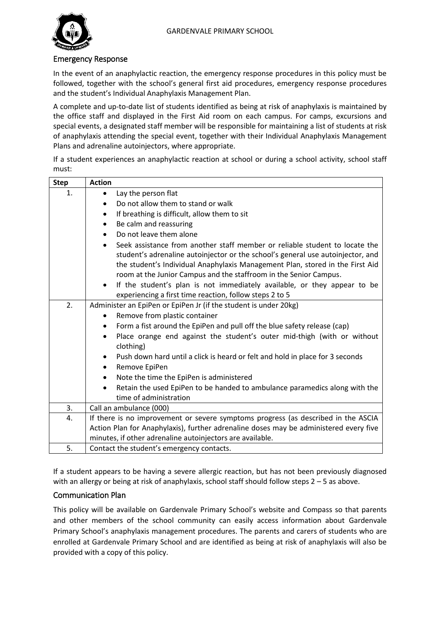

#### Emergency Response

In the event of an anaphylactic reaction, the emergency response procedures in this policy must be followed, together with the school's general first aid procedures, emergency response procedures and the student's Individual Anaphylaxis Management Plan.

A complete and up-to-date list of students identified as being at risk of anaphylaxis is maintained by the office staff and displayed in the First Aid room on each campus. For camps, excursions and special events, a designated staff member will be responsible for maintaining a list of students at risk of anaphylaxis attending the special event, together with their Individual Anaphylaxis Management Plans and adrenaline autoinjectors, where appropriate.

If a student experiences an anaphylactic reaction at school or during a school activity, school staff must:

| <b>Step</b> | <b>Action</b>                                                                            |
|-------------|------------------------------------------------------------------------------------------|
| 1.          | Lay the person flat<br>$\bullet$                                                         |
|             | Do not allow them to stand or walk<br>$\bullet$                                          |
|             | If breathing is difficult, allow them to sit<br>$\bullet$                                |
|             | Be calm and reassuring<br>٠                                                              |
|             | Do not leave them alone                                                                  |
|             | Seek assistance from another staff member or reliable student to locate the<br>$\bullet$ |
|             | student's adrenaline autoinjector or the school's general use autoinjector, and          |
|             | the student's Individual Anaphylaxis Management Plan, stored in the First Aid            |
|             | room at the Junior Campus and the staffroom in the Senior Campus.                        |
|             | If the student's plan is not immediately available, or they appear to be<br>$\bullet$    |
|             | experiencing a first time reaction, follow steps 2 to 5                                  |
| 2.          | Administer an EpiPen or EpiPen Jr (if the student is under 20kg)                         |
|             | Remove from plastic container<br>$\bullet$                                               |
|             | Form a fist around the EpiPen and pull off the blue safety release (cap)<br>٠            |
|             | Place orange end against the student's outer mid-thigh (with or without<br>$\bullet$     |
|             | clothing)                                                                                |
|             | Push down hard until a click is heard or felt and hold in place for 3 seconds            |
|             | Remove EpiPen<br>$\bullet$                                                               |
|             | Note the time the EpiPen is administered<br>$\bullet$                                    |
|             | Retain the used EpiPen to be handed to ambulance paramedics along with the               |
|             | time of administration                                                                   |
| 3.          | Call an ambulance (000)                                                                  |
| 4.          | If there is no improvement or severe symptoms progress (as described in the ASCIA        |
|             | Action Plan for Anaphylaxis), further adrenaline doses may be administered every five    |
|             | minutes, if other adrenaline autoinjectors are available.                                |
| 5.          | Contact the student's emergency contacts.                                                |

If a student appears to be having a severe allergic reaction, but has not been previously diagnosed with an allergy or being at risk of anaphylaxis, school staff should follow steps 2 – 5 as above.

#### Communication Plan

This policy will be available on Gardenvale Primary School's website and Compass so that parents and other members of the school community can easily access information about Gardenvale Primary School's anaphylaxis management procedures. The parents and carers of students who are enrolled at Gardenvale Primary School and are identified as being at risk of anaphylaxis will also be provided with a copy of this policy.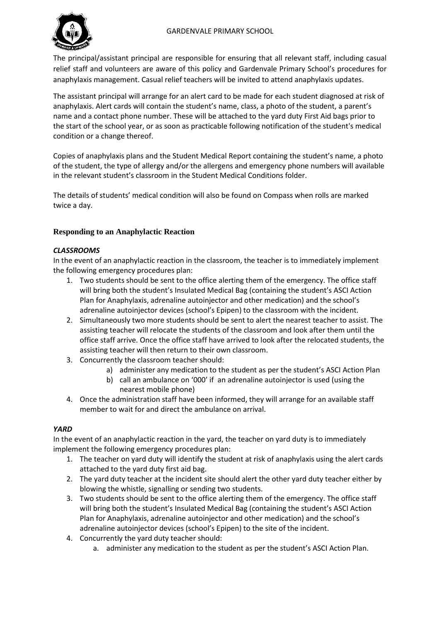

The principal/assistant principal are responsible for ensuring that all relevant staff, including casual relief staff and volunteers are aware of this policy and Gardenvale Primary School's procedures for anaphylaxis management. Casual relief teachers will be invited to attend anaphylaxis updates.

The assistant principal will arrange for an alert card to be made for each student diagnosed at risk of anaphylaxis. Alert cards will contain the student's name, class, a photo of the student, a parent's name and a contact phone number. These will be attached to the yard duty First Aid bags prior to the start of the school year, or as soon as practicable following notification of the student's medical condition or a change thereof.

Copies of anaphylaxis plans and the Student Medical Report containing the student's name, a photo of the student, the type of allergy and/or the allergens and emergency phone numbers will available in the relevant student's classroom in the Student Medical Conditions folder.

The details of students' medical condition will also be found on Compass when rolls are marked twice a day.

## **Responding to an Anaphylactic Reaction**

#### *CLASSROOMS*

In the event of an anaphylactic reaction in the classroom, the teacher is to immediately implement the following emergency procedures plan:

- 1. Two students should be sent to the office alerting them of the emergency. The office staff will bring both the student's Insulated Medical Bag (containing the student's ASCI Action Plan for Anaphylaxis, adrenaline autoinjector and other medication) and the school's adrenaline autoinjector devices (school's Epipen) to the classroom with the incident.
- 2. Simultaneously two more students should be sent to alert the nearest teacher to assist. The assisting teacher will relocate the students of the classroom and look after them until the office staff arrive. Once the office staff have arrived to look after the relocated students, the assisting teacher will then return to their own classroom.
- 3. Concurrently the classroom teacher should:
	- a) administer any medication to the student as per the student's ASCI Action Plan
	- b) call an ambulance on '000' if an adrenaline autoinjector is used (using the nearest mobile phone)
- 4. Once the administration staff have been informed, they will arrange for an available staff member to wait for and direct the ambulance on arrival.

#### *YARD*

In the event of an anaphylactic reaction in the yard, the teacher on yard duty is to immediately implement the following emergency procedures plan:

- 1. The teacher on yard duty will identify the student at risk of anaphylaxis using the alert cards attached to the yard duty first aid bag.
- 2. The yard duty teacher at the incident site should alert the other yard duty teacher either by blowing the whistle, signalling or sending two students.
- 3. Two students should be sent to the office alerting them of the emergency. The office staff will bring both the student's Insulated Medical Bag (containing the student's ASCI Action Plan for Anaphylaxis, adrenaline autoinjector and other medication) and the school's adrenaline autoinjector devices (school's Epipen) to the site of the incident.
- 4. Concurrently the yard duty teacher should:
	- a. administer any medication to the student as per the student's ASCI Action Plan.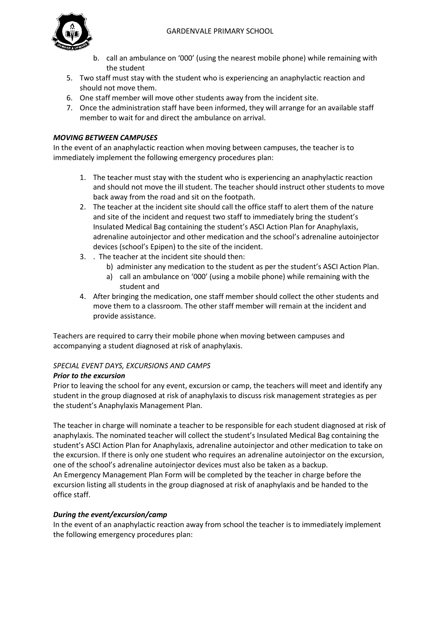

- b. call an ambulance on '000' (using the nearest mobile phone) while remaining with the student
- 5. Two staff must stay with the student who is experiencing an anaphylactic reaction and should not move them.
- 6. One staff member will move other students away from the incident site.
- 7. Once the administration staff have been informed, they will arrange for an available staff member to wait for and direct the ambulance on arrival.

#### *MOVING BETWEEN CAMPUSES*

In the event of an anaphylactic reaction when moving between campuses, the teacher is to immediately implement the following emergency procedures plan:

- 1. The teacher must stay with the student who is experiencing an anaphylactic reaction and should not move the ill student. The teacher should instruct other students to move back away from the road and sit on the footpath.
- 2. The teacher at the incident site should call the office staff to alert them of the nature and site of the incident and request two staff to immediately bring the student's Insulated Medical Bag containing the student's ASCI Action Plan for Anaphylaxis, adrenaline autoinjector and other medication and the school's adrenaline autoinjector devices (school's Epipen) to the site of the incident.
- 3. . The teacher at the incident site should then:
	- b) administer any medication to the student as per the student's ASCI Action Plan.
	- a) call an ambulance on '000' (using a mobile phone) while remaining with the student and
- 4. After bringing the medication, one staff member should collect the other students and move them to a classroom. The other staff member will remain at the incident and provide assistance.

Teachers are required to carry their mobile phone when moving between campuses and accompanying a student diagnosed at risk of anaphylaxis.

#### *SPECIAL EVENT DAYS, EXCURSIONS AND CAMPS*

#### *Prior to the excursion*

Prior to leaving the school for any event, excursion or camp, the teachers will meet and identify any student in the group diagnosed at risk of anaphylaxis to discuss risk management strategies as per the student's Anaphylaxis Management Plan.

The teacher in charge will nominate a teacher to be responsible for each student diagnosed at risk of anaphylaxis. The nominated teacher will collect the student's Insulated Medical Bag containing the student's ASCI Action Plan for Anaphylaxis, adrenaline autoinjector and other medication to take on the excursion. If there is only one student who requires an adrenaline autoinjector on the excursion, one of the school's adrenaline autoinjector devices must also be taken as a backup. An Emergency Management Plan Form will be completed by the teacher in charge before the excursion listing all students in the group diagnosed at risk of anaphylaxis and be handed to the office staff.

#### *During the event/excursion/camp*

In the event of an anaphylactic reaction away from school the teacher is to immediately implement the following emergency procedures plan: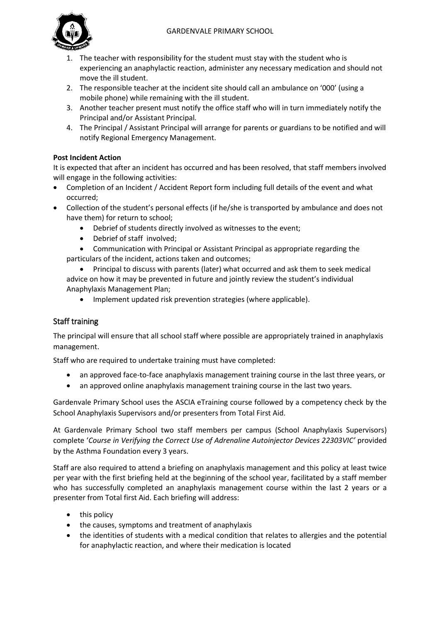#### GARDENVALE PRIMARY SCHOOL



- 1. The teacher with responsibility for the student must stay with the student who is experiencing an anaphylactic reaction, administer any necessary medication and should not move the ill student.
- 2. The responsible teacher at the incident site should call an ambulance on '000' (using a mobile phone) while remaining with the ill student.
- 3. Another teacher present must notify the office staff who will in turn immediately notify the Principal and/or Assistant Principal*.*
- 4. The Principal / Assistant Principal will arrange for parents or guardians to be notified and will notify Regional Emergency Management.

## **Post Incident Action**

It is expected that after an incident has occurred and has been resolved, that staff members involved will engage in the following activities:

- Completion of an Incident / Accident Report form including full details of the event and what occurred;
- Collection of the student's personal effects (if he/she is transported by ambulance and does not have them) for return to school;
	- Debrief of students directly involved as witnesses to the event;
	- Debrief of staff involved;

 Communication with Principal or Assistant Principal as appropriate regarding the particulars of the incident, actions taken and outcomes;

 Principal to discuss with parents (later) what occurred and ask them to seek medical advice on how it may be prevented in future and jointly review the student's individual Anaphylaxis Management Plan;

Implement updated risk prevention strategies (where applicable).

## Staff training

The principal will ensure that all school staff where possible are appropriately trained in anaphylaxis management.

Staff who are required to undertake training must have completed:

- an approved face-to-face anaphylaxis management training course in the last three years, or
- an approved online anaphylaxis management training course in the last two years.

Gardenvale Primary School uses the ASCIA eTraining course followed by a competency check by the School Anaphylaxis Supervisors and/or presenters from Total First Aid.

At Gardenvale Primary School two staff members per campus (School Anaphylaxis Supervisors) complete '*Course in Verifying the Correct Use of Adrenaline Autoinjector Devices 22303VIC'* provided by the Asthma Foundation every 3 years.

Staff are also required to attend a briefing on anaphylaxis management and this policy at least twice per year with the first briefing held at the beginning of the school year, facilitated by a staff member who has successfully completed an anaphylaxis management course within the last 2 years or a presenter from Total first Aid. Each briefing will address:

- $\bullet$  this policy
- the causes, symptoms and treatment of anaphylaxis
- the identities of students with a medical condition that relates to allergies and the potential for anaphylactic reaction, and where their medication is located